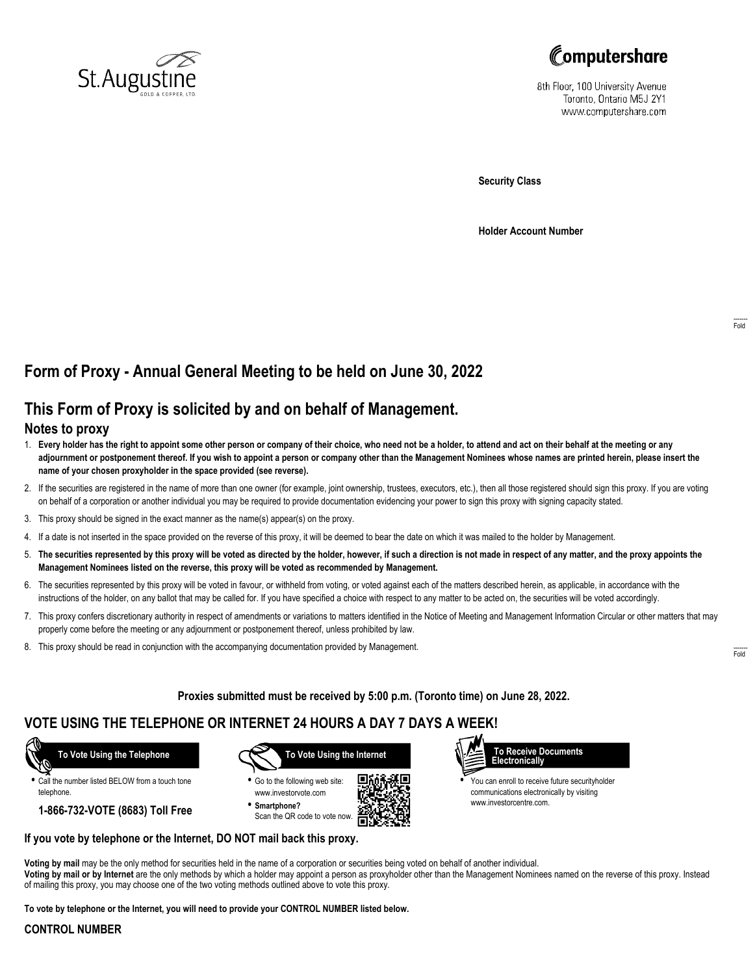



8th Floor, 100 University Avenue Toronto, Ontario M5J 2Y1 www.computershare.com

**Security Class**

**Holder Account Number**

# **Form of Proxy - Annual General Meeting to be held on June 30, 2022**

## **This Form of Proxy is solicited by and on behalf of Management.**

### **Notes to proxy**

- 1. **Every holder has the right to appoint some other person or company of their choice, who need not be a holder, to attend and act on their behalf at the meeting or any adjournment or postponement thereof. If you wish to appoint a person or company other than the Management Nominees whose names are printed herein, please insert the name of your chosen proxyholder in the space provided (see reverse).**
- 2. If the securities are registered in the name of more than one owner (for example, joint ownership, trustees, executors, etc.), then all those registered should sign this proxy. If you are voting on behalf of a corporation or another individual you may be required to provide documentation evidencing your power to sign this proxy with signing capacity stated.
- 3. This proxy should be signed in the exact manner as the name(s) appear(s) on the proxy.
- 4. If a date is not inserted in the space provided on the reverse of this proxy, it will be deemed to bear the date on which it was mailed to the holder by Management.
- 5. **The securities represented by this proxy will be voted as directed by the holder, however, if such a direction is not made in respect of any matter, and the proxy appoints the Management Nominees listed on the reverse, this proxy will be voted as recommended by Management.**
- 6. The securities represented by this proxy will be voted in favour, or withheld from voting, or voted against each of the matters described herein, as applicable, in accordance with the instructions of the holder, on any ballot that may be called for. If you have specified a choice with respect to any matter to be acted on, the securities will be voted accordingly.
- 7. This proxy confers discretionary authority in respect of amendments or variations to matters identified in the Notice of Meeting and Management Information Circular or other matters that may properly come before the meeting or any adjournment or postponement thereof, unless prohibited by law.
- 8. This proxy should be read in conjunction with the accompanying documentation provided by Management.

**Proxies submitted must be received by 5:00 p.m. (Toronto time) on June 28, 2022.**

## **VOTE USING THE TELEPHONE OR INTERNET 24 HOURS A DAY 7 DAYS A WEEK!**



**•** Call the number listed BELOW from a touch tone telephone.

**1-866-732-VOTE (8683) Toll Free**



**•** Go to the following web site: www.investorvote.com **• Smartphone?**

Scan the QR code to vote now.





**•** You can enroll to receive future securityholder communications electronically by visiting www.investorcentre.com.

#### **If you vote by telephone or the Internet, DO NOT mail back this proxy.**

**Voting by mail** may be the only method for securities held in the name of a corporation or securities being voted on behalf of another individual. **Voting by mail or by Internet** are the only methods by which a holder may appoint a person as proxyholder other than the Management Nominees named on the reverse of this proxy. Instead of mailing this proxy, you may choose one of the two voting methods outlined above to vote this proxy.

**To vote by telephone or the Internet, you will need to provide your CONTROL NUMBER listed below.**

#### **CONTROL NUMBER**